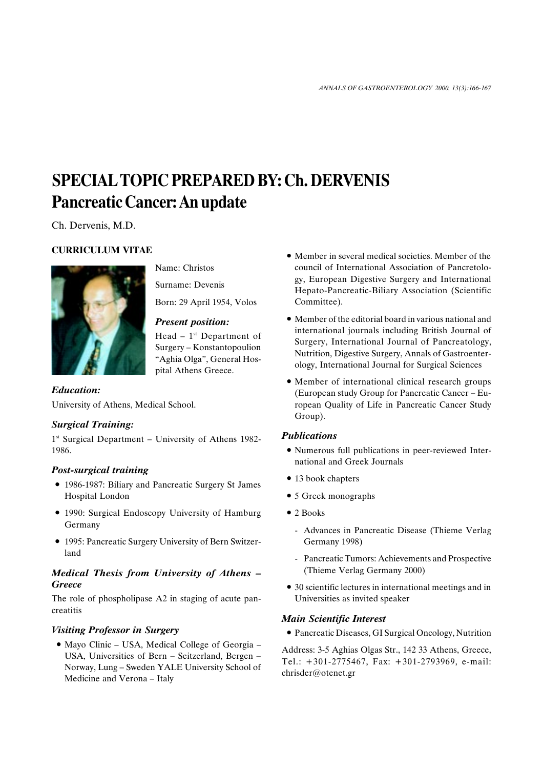# SPECIAL TOPIC PREPARED BY: Ch. DERVENIS Pancreatic Cancer: An update

Ch. Dervenis, M.D.

## CURRICULUM VITAE



Name: Christos

Surname: Devenis

Born: 29 April 1954, Volos

#### Present position:

Head  $-1$ <sup>st</sup> Department of Surgery – Konstantopoulion "Aghia Olga", General Hospital Athens Greece.

Education: University of Athens, Medical School.

### Surgical Training:

 $1<sup>st</sup>$  Surgical Department – University of Athens 1982-1986.

### Post-surgical training

- 1986-1987: Biliary and Pancreatic Surgery St James Hospital London
- 1990: Surgical Endoscopy University of Hamburg Germany
- 1995: Pancreatic Surgery University of Bern Switzerland

#### Medical Thesis from University of Athens **Greece**

The role of phospholipase A2 in staging of acute pancreatitis

### Visiting Professor in Surgery

• Mayo Clinic – USA, Medical College of Georgia – USA, Universities of Bern – Seitzerland, Bergen – Norway, Lung - Sweden YALE University School of Medicine and Verona - Italy

- Member in several medical societies. Member of the council of International Association of Pancretology, European Digestive Surgery and International Hepato-Pancreatic-Biliary Association (Scientific Committee).
- Member of the editorial board in various national and international journals including British Journal of Surgery, International Journal of Pancreatology, Nutrition, Digestive Surgery, Annals of Gastroenterology, International Journal for Surgical Sciences
- Member of international clinical research groups (European study Group for Pancreatic Cancer - European Quality of Life in Pancreatic Cancer Study Group).

#### **Publications**

- Numerous full publications in peer-reviewed International and Greek Journals
- 13 book chapters
- 5 Greek monographs
- 2 Books
	- Advances in Pancreatic Disease (Thieme Verlag Germany 1998)
	- Pancreatic Tumors: Achievements and Prospective (Thieme Verlag Germany 2000)
- 30 scientific lectures in international meetings and in Universities as invited speaker

### Main Scientific Interest

Pancreatic Diseases, GI Surgical Oncology, Nutrition

Address: 3-5 Aghias Olgas Str., 142 33 Athens, Greece, Tel.: +301-2775467, Fax: +301-2793969, e-mail: chrisder@otenet.gr